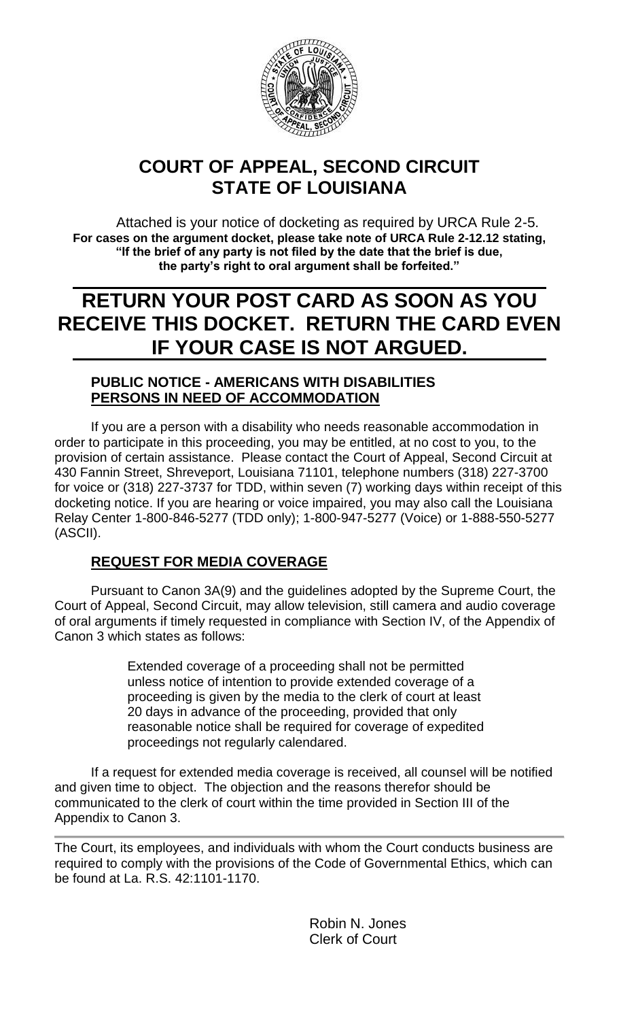

## **COURT OF APPEAL, SECOND CIRCUIT STATE OF LOUISIANA**

Attached is your notice of docketing as required by URCA Rule 2-5. **For cases on the argument docket, please take note of URCA Rule 2-12.12 stating, "If the brief of any party is not filed by the date that the brief is due, the party's right to oral argument shall be forfeited."**

# **RETURN YOUR POST CARD AS SOON AS YOU RECEIVE THIS DOCKET. RETURN THE CARD EVEN IF YOUR CASE IS NOT ARGUED.**

#### **PUBLIC NOTICE - AMERICANS WITH DISABILITIES PERSONS IN NEED OF ACCOMMODATION**

If you are a person with a disability who needs reasonable accommodation in order to participate in this proceeding, you may be entitled, at no cost to you, to the provision of certain assistance. Please contact the Court of Appeal, Second Circuit at 430 Fannin Street, Shreveport, Louisiana 71101, telephone numbers (318) 227-3700 for voice or (318) 227-3737 for TDD, within seven (7) working days within receipt of this docketing notice. If you are hearing or voice impaired, you may also call the Louisiana Relay Center 1-800-846-5277 (TDD only); 1-800-947-5277 (Voice) or 1-888-550-5277 (ASCII).

#### **REQUEST FOR MEDIA COVERAGE**

Pursuant to Canon 3A(9) and the guidelines adopted by the Supreme Court, the Court of Appeal, Second Circuit, may allow television, still camera and audio coverage of oral arguments if timely requested in compliance with Section IV, of the Appendix of Canon 3 which states as follows:

> Extended coverage of a proceeding shall not be permitted unless notice of intention to provide extended coverage of a proceeding is given by the media to the clerk of court at least 20 days in advance of the proceeding, provided that only reasonable notice shall be required for coverage of expedited proceedings not regularly calendared.

If a request for extended media coverage is received, all counsel will be notified and given time to object. The objection and the reasons therefor should be communicated to the clerk of court within the time provided in Section III of the Appendix to Canon 3.

The Court, its employees, and individuals with whom the Court conducts business are required to comply with the provisions of the Code of Governmental Ethics, which can be found at La. R.S. 42:1101-1170.

> Robin N. Jones Clerk of Court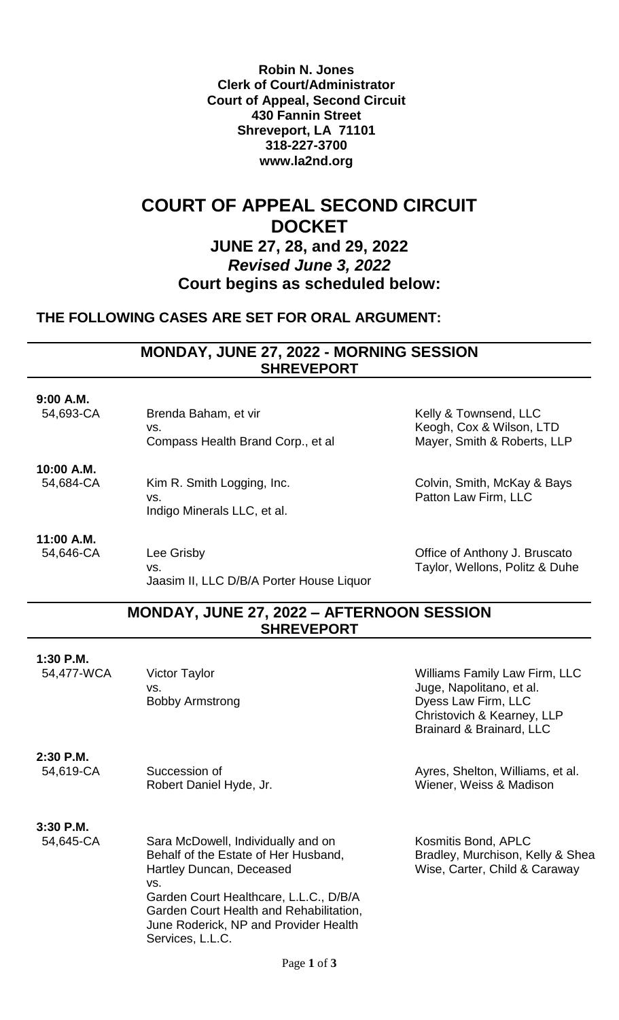**Robin N. Jones Clerk of Court/Administrator Court of Appeal, Second Circuit 430 Fannin Street Shreveport, LA 71101 318-227-3700 www.la2nd.org**

## **COURT OF APPEAL SECOND CIRCUIT DOCKET JUNE 27, 28, and 29, 2022** *Revised June 3, 2022* **Court begins as scheduled below:**

#### **THE FOLLOWING CASES ARE SET FOR ORAL ARGUMENT:**

#### **MONDAY, JUNE 27, 2022 - MORNING SESSION SHREVEPORT**

#### **9:00 A.M.**

54,693-CA Brenda Baham, et vir vs.

Compass Health Brand Corp., et al

## **10:00 A.M.**

54,684-CA Kim R. Smith Logging, Inc. vs. Indigo Minerals LLC, et al.

Kelly & Townsend, LLC Keogh, Cox & Wilson, LTD Mayer, Smith & Roberts, LLP

Colvin, Smith, McKay & Bays Patton Law Firm, LLC

**11:00 A.M.**

54,646-CA Lee Grisby vs. Jaasim II, LLC D/B/A Porter House Liquor

Office of Anthony J. Bruscato Taylor, Wellons, Politz & Duhe

#### **MONDAY, JUNE 27, 2022 – AFTERNOON SESSION SHREVEPORT**

## **1:30 P.M.**

54,477-WCA Victor Taylor vs. Bobby Armstrong Williams Family Law Firm, LLC Juge, Napolitano, et al. Dyess Law Firm, LLC Christovich & Kearney, LLP Brainard & Brainard, LLC

Ayres, Shelton, Williams, et al. Wiener, Weiss & Madison

Bradley, Murchison, Kelly & Shea Wise, Carter, Child & Caraway

Kosmitis Bond, APLC

#### **2:30 P.M.**

54,619-CA Succession of Robert Daniel Hyde, Jr.

#### **3:30 P.M.**

54,645-CA Sara McDowell, Individually and on Behalf of the Estate of Her Husband, Hartley Duncan, Deceased vs. Garden Court Healthcare, L.L.C., D/B/A Garden Court Health and Rehabilitation, June Roderick, NP and Provider Health Services, L.L.C.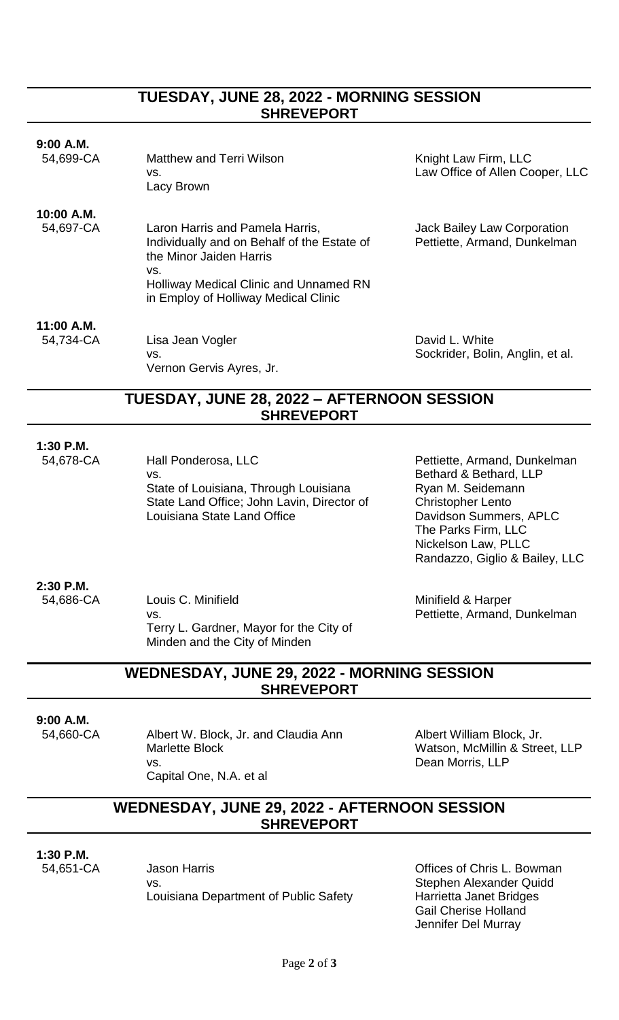#### **TUESDAY, JUNE 28, 2022 - MORNING SESSION SHREVEPORT**

#### **9:00 A.M.**

| 9:00 A.M.  |                                                                                                                                                                                                           |                                                                    |
|------------|-----------------------------------------------------------------------------------------------------------------------------------------------------------------------------------------------------------|--------------------------------------------------------------------|
| 54,699-CA  | <b>Matthew and Terri Wilson</b><br>VS.<br>Lacy Brown                                                                                                                                                      | Knight Law Firm, LLC<br>Law Office of Allen Cooper, LLC            |
| 10:00 A.M. |                                                                                                                                                                                                           |                                                                    |
| 54,697-CA  | Laron Harris and Pamela Harris,<br>Individually and on Behalf of the Estate of<br>the Minor Jaiden Harris<br>VS.<br><b>Holliway Medical Clinic and Unnamed RN</b><br>in Employ of Holliway Medical Clinic | <b>Jack Bailey Law Corporation</b><br>Pettiette, Armand, Dunkelman |
| 11:00 A.M. |                                                                                                                                                                                                           |                                                                    |
| 54,734-CA  | Lisa Jean Vogler                                                                                                                                                                                          | David L. White                                                     |
|            | VS.                                                                                                                                                                                                       | Sockrider, Bolin, Anglin, et al.                                   |
|            | Vernon Gervis Ayres, Jr.                                                                                                                                                                                  |                                                                    |

#### **TUESDAY, JUNE 28, 2022 – AFTERNOON SESSION SHREVEPORT**

#### **1:30 P.M.**

54,678-CA Hall Ponderosa, LLC vs. State of Louisiana, Through Louisiana State Land Office; John Lavin, Director of Louisiana State Land Office

Pettiette, Armand, Dunkelman Bethard & Bethard, LLP Ryan M. Seidemann Christopher Lento Davidson Summers, APLC The Parks Firm, LLC Nickelson Law, PLLC Randazzo, Giglio & Bailey, LLC

**2:30 P.M.**

54,686-CA Louis C. Minifield vs. Terry L. Gardner, Mayor for the City of Minden and the City of Minden

Minifield & Harper Pettiette, Armand, Dunkelman

#### **WEDNESDAY, JUNE 29, 2022 - MORNING SESSION SHREVEPORT**

### **9:00 A.M.**

54,660-CA Albert W. Block, Jr. and Claudia Ann Marlette Block vs. Capital One, N.A. et al

Albert William Block, Jr. Watson, McMillin & Street, LLP Dean Morris, LLP

#### **WEDNESDAY, JUNE 29, 2022 - AFTERNOON SESSION SHREVEPORT**

**1:30 P.M.**

54,651-CA Jason Harris vs. Louisiana Department of Public Safety Offices of Chris L. Bowman Stephen Alexander Quidd Harrietta Janet Bridges Gail Cherise Holland Jennifer Del Murray